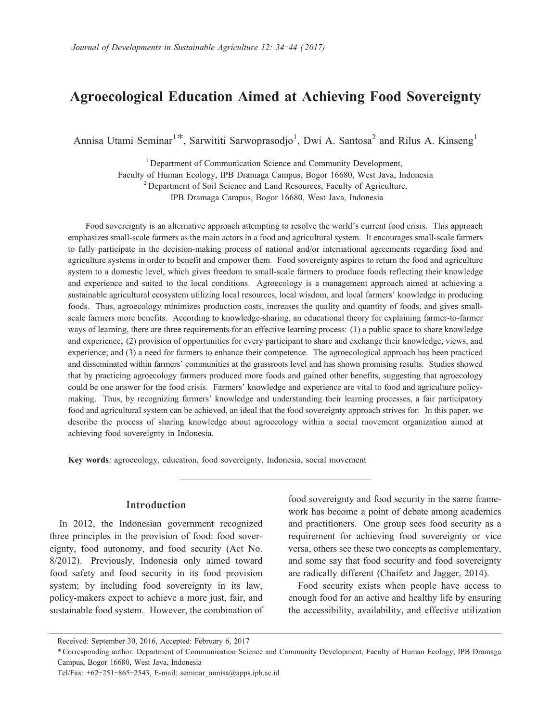# **Agroecological Education Aimed at Achieving Food Sovereignty**

Annisa Utami Seminar<sup>1\*</sup>, Sarwititi Sarwoprasodjo<sup>1</sup>, Dwi A. Santosa<sup>2</sup> and Rilus A. Kinseng<sup>1</sup>

<sup>1</sup> Department of Communication Science and Community Development, Faculty of Human Ecology, IPB Dramaga Campus, Bogor 16680, West Java, Indonesia  $2$  Department of Soil Science and Land Resources, Faculty of Agriculture, IPB Dramaga Campus, Bogor 16680, West Java, Indonesia

Food sovereignty is an alternative approach attempting to resolve the world's current food crisis. This approach emphasizes small-scale farmers as the main actors in a food and agricultural system. It encourages small-scale farmers to fully participate in the decision-making process of national and/or international agreements regarding food and agriculture systems in order to benefit and empower them. Food sovereignty aspires to return the food and agriculture system to a domestic level, which gives freedom to small-scale farmers to produce foods reflecting their knowledge and experience and suited to the local conditions. Agroecology is a management approach aimed at achieving a sustainable agricultural ecosystem utilizing local resources, local wisdom, and local farmers' knowledge in producing foods. Thus, agroecology minimizes production costs, increases the quality and quantity of foods, and gives smallscale farmers more benefits. According to knowledge-sharing, an educational theory for explaining farmer-to-farmer ways of learning, there are three requirements for an effective learning process: (1) a public space to share knowledge and experience; (2) provision of opportunities for every participant to share and exchange their knowledge, views, and experience; and (3) a need for farmers to enhance their competence. The agroecological approach has been practiced and disseminated within farmers' communities at the grassroots level and has shown promising results. Studies showed that by practicing agroecology farmers produced more foods and gained other benefits, suggesting that agroecology could be one answer for the food crisis. Farmers' knowledge and experience are vital to food and agriculture policymaking. Thus, by recognizing farmers' knowledge and understanding their learning processes, a fair participatory food and agricultural system can be achieved, an ideal that the food sovereignty approach strives for. In this paper, we describe the process of sharing knowledge about agroecology within a social movement organization aimed at achieving food sovereignty in Indonesia.

**───────────────────────**

**Key words**: agroecology, education, food sovereignty, Indonesia, social movement

### **Introduction**

In 2012, the Indonesian government recognized three principles in the provision of food: food sovereignty, food autonomy, and food security (Act No. 8/2012). Previously, Indonesia only aimed toward food safety and food security in its food provision system; by including food sovereignty in its law, policy-makers expect to achieve a more just, fair, and sustainable food system. However, the combination of food sovereignty and food security in the same framework has become a point of debate among academics and practitioners. One group sees food security as a requirement for achieving food sovereignty or vice versa, others see these two concepts as complementary, and some say that food security and food sovereignty are radically different (Chaifetz and Jagger, 2014).

Food security exists when people have access to enough food for an active and healthy life by ensuring the accessibility, availability, and effective utilization

Received: September 30, 2016, Accepted: February 6, 2017

<sup>\*</sup> Corresponding author: Department of Communication Science and Community Development, Faculty of Human Ecology, IPB Dramaga Campus, Bogor 16680, West Java, Indonesia

Tel/Fax: **+**62**-**251**-**865**-**2543, E-mail: seminar\_annisa@apps.ipb.ac.id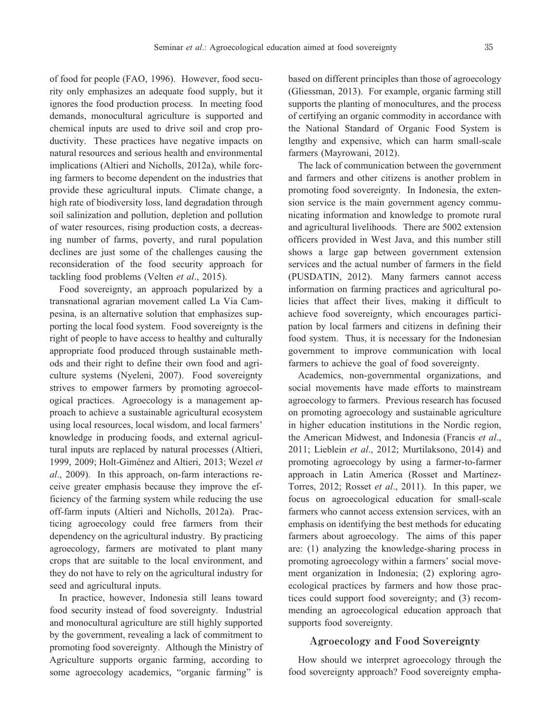of food for people (FAO, 1996). However, food security only emphasizes an adequate food supply, but it ignores the food production process. In meeting food demands, monocultural agriculture is supported and chemical inputs are used to drive soil and crop productivity. These practices have negative impacts on natural resources and serious health and environmental implications (Altieri and Nicholls, 2012a), while forcing farmers to become dependent on the industries that provide these agricultural inputs. Climate change, a high rate of biodiversity loss, land degradation through soil salinization and pollution, depletion and pollution of water resources, rising production costs, a decreasing number of farms, poverty, and rural population declines are just some of the challenges causing the reconsideration of the food security approach for tackling food problems (Velten *et al*., 2015).

Food sovereignty, an approach popularized by a transnational agrarian movement called La Via Campesina, is an alternative solution that emphasizes supporting the local food system. Food sovereignty is the right of people to have access to healthy and culturally appropriate food produced through sustainable methods and their right to define their own food and agriculture systems (Nyeleni, 2007). Food sovereignty strives to empower farmers by promoting agroecological practices. Agroecology is a management approach to achieve a sustainable agricultural ecosystem using local resources, local wisdom, and local farmers' knowledge in producing foods, and external agricultural inputs are replaced by natural processes (Altieri, 1999, 2009; Holt-Giménez and Altieri, 2013; Wezel *et al*., 2009). In this approach, on-farm interactions receive greater emphasis because they improve the efficiency of the farming system while reducing the use off-farm inputs (Altieri and Nicholls, 2012a). Practicing agroecology could free farmers from their dependency on the agricultural industry. By practicing agroecology, farmers are motivated to plant many crops that are suitable to the local environment, and they do not have to rely on the agricultural industry for seed and agricultural inputs.

In practice, however, Indonesia still leans toward food security instead of food sovereignty. Industrial and monocultural agriculture are still highly supported by the government, revealing a lack of commitment to promoting food sovereignty. Although the Ministry of Agriculture supports organic farming, according to some agroecology academics, "organic farming" is

based on different principles than those of agroecology (Gliessman, 2013). For example, organic farming still supports the planting of monocultures, and the process of certifying an organic commodity in accordance with the National Standard of Organic Food System is lengthy and expensive, which can harm small-scale farmers (Mayrowani, 2012).

The lack of communication between the government and farmers and other citizens is another problem in promoting food sovereignty. In Indonesia, the extension service is the main government agency communicating information and knowledge to promote rural and agricultural livelihoods. There are 5002 extension officers provided in West Java, and this number still shows a large gap between government extension services and the actual number of farmers in the field (PUSDATIN, 2012). Many farmers cannot access information on farming practices and agricultural policies that affect their lives, making it difficult to achieve food sovereignty, which encourages participation by local farmers and citizens in defining their food system. Thus, it is necessary for the Indonesian government to improve communication with local farmers to achieve the goal of food sovereignty.

Academics, non-governmental organizations, and social movements have made efforts to mainstream agroecology to farmers. Previous research has focused on promoting agroecology and sustainable agriculture in higher education institutions in the Nordic region, the American Midwest, and Indonesia (Francis *et al*., 2011; Lieblein *et al*., 2012; Murtilaksono, 2014) and promoting agroecology by using a farmer-to-farmer approach in Latin America (Rosset and Martínez-Torres, 2012; Rosset *et al*., 2011). In this paper, we focus on agroecological education for small-scale farmers who cannot access extension services, with an emphasis on identifying the best methods for educating farmers about agroecology. The aims of this paper are: (1) analyzing the knowledge-sharing process in promoting agroecology within a farmers' social movement organization in Indonesia; (2) exploring agroecological practices by farmers and how those practices could support food sovereignty; and (3) recommending an agroecological education approach that supports food sovereignty.

#### **Agroecology and Food Sovereignty**

How should we interpret agroecology through the food sovereignty approach? Food sovereignty empha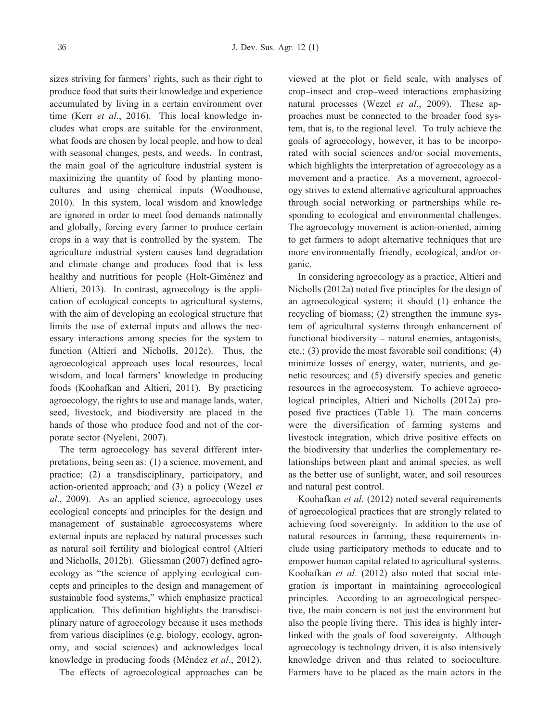sizes striving for farmers' rights, such as their right to produce food that suits their knowledge and experience accumulated by living in a certain environment over time (Kerr *et al*., 2016). This local knowledge includes what crops are suitable for the environment, what foods are chosen by local people, and how to deal with seasonal changes, pests, and weeds. In contrast, the main goal of the agriculture industrial system is maximizing the quantity of food by planting monocultures and using chemical inputs (Woodhouse, 2010). In this system, local wisdom and knowledge are ignored in order to meet food demands nationally and globally, forcing every farmer to produce certain crops in a way that is controlled by the system. The agriculture industrial system causes land degradation and climate change and produces food that is less healthy and nutritious for people (Holt-Giménez and Altieri, 2013). In contrast, agroecology is the application of ecological concepts to agricultural systems, with the aim of developing an ecological structure that limits the use of external inputs and allows the necessary interactions among species for the system to function (Altieri and Nicholls, 2012c). Thus, the agroecological approach uses local resources, local wisdom, and local farmers' knowledge in producing foods (Koohafkan and Altieri, 2011). By practicing agroecology, the rights to use and manage lands, water, seed, livestock, and biodiversity are placed in the hands of those who produce food and not of the corporate sector (Nyeleni, 2007).

The term agroecology has several different interpretations, being seen as: (1) a science, movement, and practice; (2) a transdisciplinary, participatory, and action-oriented approach; and (3) a policy (Wezel *et al*., 2009). As an applied science, agroecology uses ecological concepts and principles for the design and management of sustainable agroecosystems where external inputs are replaced by natural processes such as natural soil fertility and biological control (Altieri and Nicholls, 2012b). Gliessman (2007) defined agroecology as "the science of applying ecological concepts and principles to the design and management of sustainable food systems," which emphasize practical application. This definition highlights the transdisciplinary nature of agroecology because it uses methods from various disciplines (e.g. biology, ecology, agronomy, and social sciences) and acknowledges local knowledge in producing foods (Méndez *et al*., 2012).

The effects of agroecological approaches can be

viewed at the plot or field scale, with analyses of crop**‒**insect and crop**‒**weed interactions emphasizing natural processes (Wezel *et al*., 2009). These approaches must be connected to the broader food system, that is, to the regional level. To truly achieve the goals of agroecology, however, it has to be incorporated with social sciences and/or social movements, which highlights the interpretation of agroecology as a movement and a practice. As a movement, agroecology strives to extend alternative agricultural approaches through social networking or partnerships while responding to ecological and environmental challenges. The agroecology movement is action-oriented, aiming to get farmers to adopt alternative techniques that are more environmentally friendly, ecological, and/or organic.

In considering agroecology as a practice, Altieri and Nicholls (2012a) noted five principles for the design of an agroecological system; it should (1) enhance the recycling of biomass; (2) strengthen the immune system of agricultural systems through enhancement of functional biodiversity – natural enemies, antagonists, etc.; (3) provide the most favorable soil conditions; (4) minimize losses of energy, water, nutrients, and genetic resources; and (5) diversify species and genetic resources in the agroecosystem. To achieve agroecological principles, Altieri and Nicholls (2012a) proposed five practices (Table 1). The main concerns were the diversification of farming systems and livestock integration, which drive positive effects on the biodiversity that underlies the complementary relationships between plant and animal species, as well as the better use of sunlight, water, and soil resources and natural pest control.

Koohafkan *et al*. (2012) noted several requirements of agroecological practices that are strongly related to achieving food sovereignty. In addition to the use of natural resources in farming, these requirements include using participatory methods to educate and to empower human capital related to agricultural systems. Koohafkan *et al*. (2012) also noted that social integration is important in maintaining agroecological principles. According to an agroecological perspective, the main concern is not just the environment but also the people living there. This idea is highly interlinked with the goals of food sovereignty. Although agroecology is technology driven, it is also intensively knowledge driven and thus related to socioculture. Farmers have to be placed as the main actors in the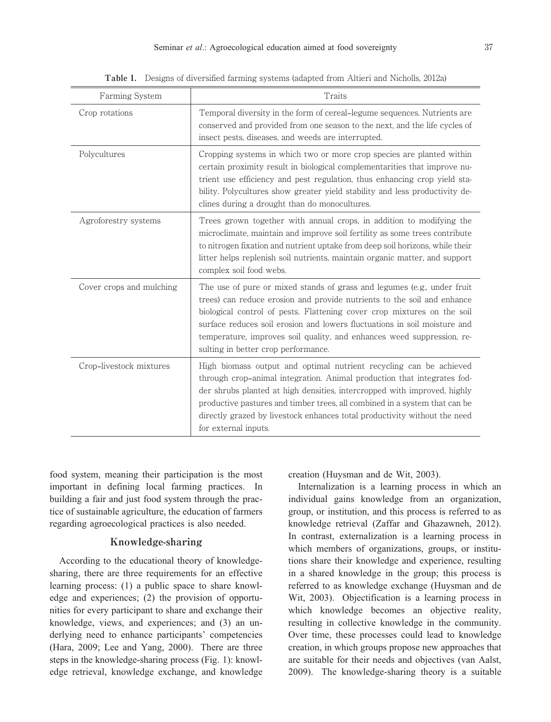| Farming System           | Traits                                                                                                                                                                                                                                                                                                                                                                                                                      |
|--------------------------|-----------------------------------------------------------------------------------------------------------------------------------------------------------------------------------------------------------------------------------------------------------------------------------------------------------------------------------------------------------------------------------------------------------------------------|
| Crop rotations           | Temporal diversity in the form of cereal-legume sequences. Nutrients are<br>conserved and provided from one season to the next, and the life cycles of<br>insect pests, diseases, and weeds are interrupted.                                                                                                                                                                                                                |
| Polycultures             | Cropping systems in which two or more crop species are planted within<br>certain proximity result in biological complementarities that improve nu-<br>trient use efficiency and pest regulation, thus enhancing crop yield sta-<br>bility. Polycultures show greater yield stability and less productivity de-<br>clines during a drought than do monocultures.                                                             |
| Agroforestry systems     | Trees grown together with annual crops, in addition to modifying the<br>microclimate, maintain and improve soil fertility as some trees contribute<br>to nitrogen fixation and nutrient uptake from deep soil horizons, while their<br>litter helps replenish soil nutrients, maintain organic matter, and support<br>complex soil food webs.                                                                               |
| Cover crops and mulching | The use of pure or mixed stands of grass and legumes (e.g., under fruit<br>trees) can reduce erosion and provide nutrients to the soil and enhance<br>biological control of pests. Flattening cover crop mixtures on the soil<br>surface reduces soil erosion and lowers fluctuations in soil moisture and<br>temperature, improves soil quality, and enhances weed suppression, re-<br>sulting in better crop performance. |
| Crop-livestock mixtures  | High biomass output and optimal nutrient recycling can be achieved<br>through crop-animal integration. Animal production that integrates fod-<br>der shrubs planted at high densities, intercropped with improved, highly<br>productive pastures and timber trees, all combined in a system that can be<br>directly grazed by livestock enhances total productivity without the need<br>for external inputs.                |

**Table 1.** Designs of diversified farming systems (adapted from Altieri and Nicholls, 2012a)

food system, meaning their participation is the most important in defining local farming practices. In building a fair and just food system through the practice of sustainable agriculture, the education of farmers regarding agroecological practices is also needed.

## **Knowledge-sharing**

According to the educational theory of knowledgesharing, there are three requirements for an effective learning process: (1) a public space to share knowledge and experiences; (2) the provision of opportunities for every participant to share and exchange their knowledge, views, and experiences; and (3) an underlying need to enhance participants' competencies (Hara, 2009; Lee and Yang, 2000). There are three steps in the knowledge-sharing process (Fig. 1): knowledge retrieval, knowledge exchange, and knowledge creation (Huysman and de Wit, 2003).

Internalization is a learning process in which an individual gains knowledge from an organization, group, or institution, and this process is referred to as knowledge retrieval (Zaffar and Ghazawneh, 2012). In contrast, externalization is a learning process in which members of organizations, groups, or institutions share their knowledge and experience, resulting in a shared knowledge in the group; this process is referred to as knowledge exchange (Huysman and de Wit, 2003). Objectification is a learning process in which knowledge becomes an objective reality, resulting in collective knowledge in the community. Over time, these processes could lead to knowledge creation, in which groups propose new approaches that are suitable for their needs and objectives (van Aalst, 2009). The knowledge-sharing theory is a suitable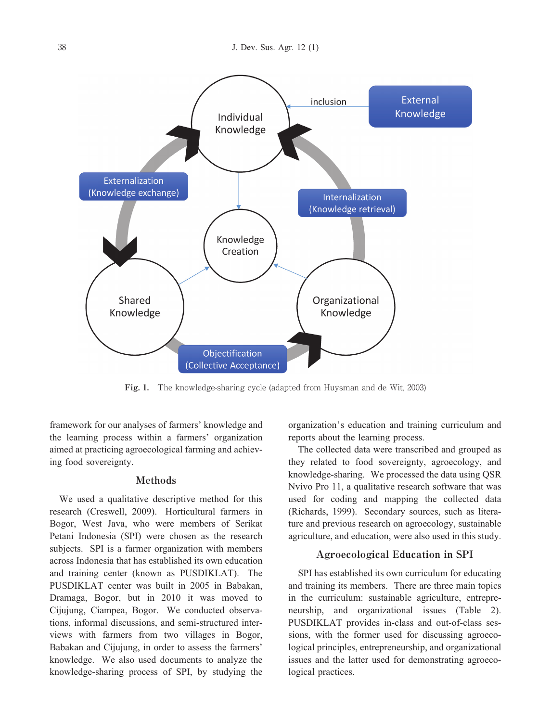

**Fig. 1.** The knowledge-sharing cycle (adapted from Huysman and de Wit, 2003)

framework for our analyses of farmers' knowledge and the learning process within a farmers' organization aimed at practicing agroecological farming and achieving food sovereignty.

### **Methods**

We used a qualitative descriptive method for this research (Creswell, 2009). Horticultural farmers in Bogor, West Java, who were members of Serikat Petani Indonesia (SPI) were chosen as the research subjects. SPI is a farmer organization with members across Indonesia that has established its own education and training center (known as PUSDIKLAT). The PUSDIKLAT center was built in 2005 in Babakan, Dramaga, Bogor, but in 2010 it was moved to Cijujung, Ciampea, Bogor. We conducted observations, informal discussions, and semi-structured interviews with farmers from two villages in Bogor, Babakan and Cijujung, in order to assess the farmers' knowledge. We also used documents to analyze the knowledge-sharing process of SPI, by studying the

organization's education and training curriculum and reports about the learning process.

The collected data were transcribed and grouped as they related to food sovereignty, agroecology, and knowledge-sharing. We processed the data using QSR Nvivo Pro 11, a qualitative research software that was used for coding and mapping the collected data (Richards, 1999). Secondary sources, such as literature and previous research on agroecology, sustainable agriculture, and education, were also used in this study.

### **Agroecological Education in SPI**

SPI has established its own curriculum for educating and training its members. There are three main topics in the curriculum: sustainable agriculture, entrepreneurship, and organizational issues (Table 2). PUSDIKLAT provides in-class and out-of-class sessions, with the former used for discussing agroecological principles, entrepreneurship, and organizational issues and the latter used for demonstrating agroecological practices.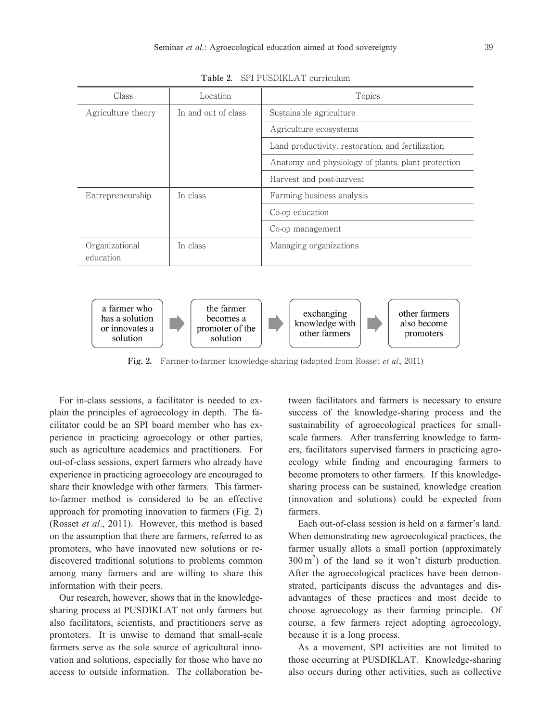

**Table 2.** SPI PUSDIKLAT curriculum



**Fig. 2.** Farmer-to-farmer knowledge-sharing (adapted from Rosset et al., 2011)

For in-class sessions, a facilitator is needed to explain the principles of agroecology in depth. The facilitator could be an SPI board member who has experience in practicing agroecology or other parties, such as agriculture academics and practitioners. For out-of-class sessions, expert farmers who already have experience in practicing agroecology are encouraged to share their knowledge with other farmers. This farmerto-farmer method is considered to be an effective approach for promoting innovation to farmers (Fig. 2) (Rosset *et al*., 2011). However, this method is based on the assumption that there are farmers, referred to as promoters, who have innovated new solutions or rediscovered traditional solutions to problems common among many farmers and are willing to share this information with their peers.

Our research, however, shows that in the knowledgesharing process at PUSDIKLAT not only farmers but also facilitators, scientists, and practitioners serve as promoters. It is unwise to demand that small-scale farmers serve as the sole source of agricultural innovation and solutions, especially for those who have no access to outside information. The collaboration between facilitators and farmers is necessary to ensure success of the knowledge-sharing process and the sustainability of agroecological practices for smallscale farmers. After transferring knowledge to farmers, facilitators supervised farmers in practicing agroecology while finding and encouraging farmers to become promoters to other farmers. If this knowledgesharing process can be sustained, knowledge creation (innovation and solutions) could be expected from farmers.

Each out-of-class session is held on a farmer's land. When demonstrating new agroecological practices, the farmer usually allots a small portion (approximately  $300 \text{ m}^2$ ) of the land so it won't disturb production. After the agroecological practices have been demonstrated, participants discuss the advantages and disadvantages of these practices and most decide to choose agroecology as their farming principle. Of course, a few farmers reject adopting agroecology, because it is a long process.

As a movement, SPI activities are not limited to those occurring at PUSDIKLAT. Knowledge-sharing also occurs during other activities, such as collective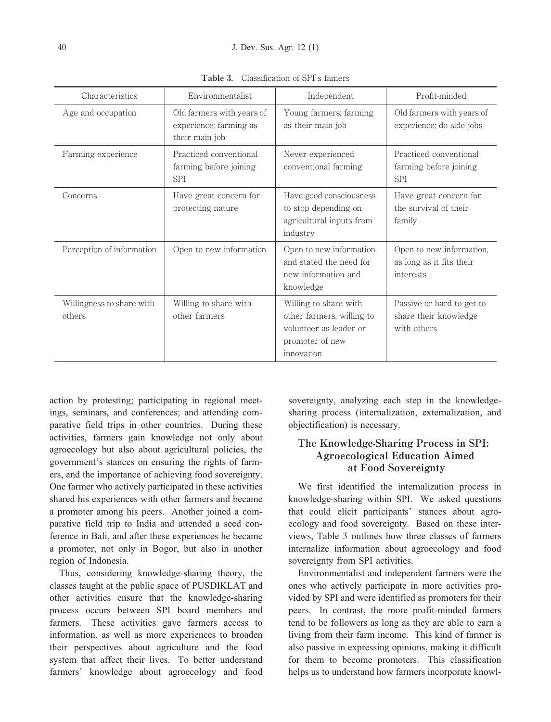| Characteristics                     | Environmentalist                                                      | Independent                                                                                                   | Profit-minded                                                     |
|-------------------------------------|-----------------------------------------------------------------------|---------------------------------------------------------------------------------------------------------------|-------------------------------------------------------------------|
| Age and occupation                  | Old farmers with years of<br>experience; farming as<br>their main job | Young farmers; farming<br>as their main job                                                                   | Old farmers with years of<br>experience; do side jobs             |
| Farming experience                  | Practiced conventional<br>farming before joining<br>SPI               | Never experienced<br>conventional farming                                                                     | Practiced conventional<br>farming before joining<br><b>SPI</b>    |
| Concerns                            | Have great concern for<br>protecting nature                           | Have good consciousness<br>to stop depending on<br>agricultural inputs from<br>industry                       | Have great concern for<br>the survival of their<br>family         |
| Perception of information           | Open to new information                                               | Open to new information<br>and stated the need for<br>new information and<br>knowledge                        | Open to new information,<br>as long as it fits their<br>interests |
| Willingness to share with<br>others | Willing to share with<br>other farmers                                | Willing to share with<br>other farmers, willing to<br>volunteer as leader or<br>promoter of new<br>innovation | Passive or hard to get to<br>share their knowledge<br>with others |

**Table 3.** Classification of SPI's famers

action by protesting; participating in regional meetings, seminars, and conferences; and attending comparative field trips in other countries. During these activities, farmers gain knowledge not only about agroecology but also about agricultural policies, the government's stances on ensuring the rights of farmers, and the importance of achieving food sovereignty. One farmer who actively participated in these activities shared his experiences with other farmers and became a promoter among his peers. Another joined a comparative field trip to India and attended a seed conference in Bali, and after these experiences he became a promoter, not only in Bogor, but also in another region of Indonesia.

Thus, considering knowledge-sharing theory, the classes taught at the public space of PUSDIKLAT and other activities ensure that the knowledge-sharing process occurs between SPI board members and farmers. These activities gave farmers access to information, as well as more experiences to broaden their perspectives about agriculture and the food system that affect their lives. To better understand farmers' knowledge about agroecology and food

sovereignty, analyzing each step in the knowledgesharing process (internalization, externalization, and objectification) is necessary.

## **The Knowledge-Sharing Process in SPI: Agroecological Education Aimed at Food Sovereignty**

We first identified the internalization process in knowledge-sharing within SPI. We asked questions that could elicit participants' stances about agroecology and food sovereignty. Based on these interviews, Table 3 outlines how three classes of farmers internalize information about agroecology and food sovereignty from SPI activities.

Environmentalist and independent farmers were the ones who actively participate in more activities provided by SPI and were identified as promoters for their peers. In contrast, the more profit-minded farmers tend to be followers as long as they are able to earn a living from their farm income. This kind of farmer is also passive in expressing opinions, making it difficult for them to become promoters. This classification helps us to understand how farmers incorporate knowl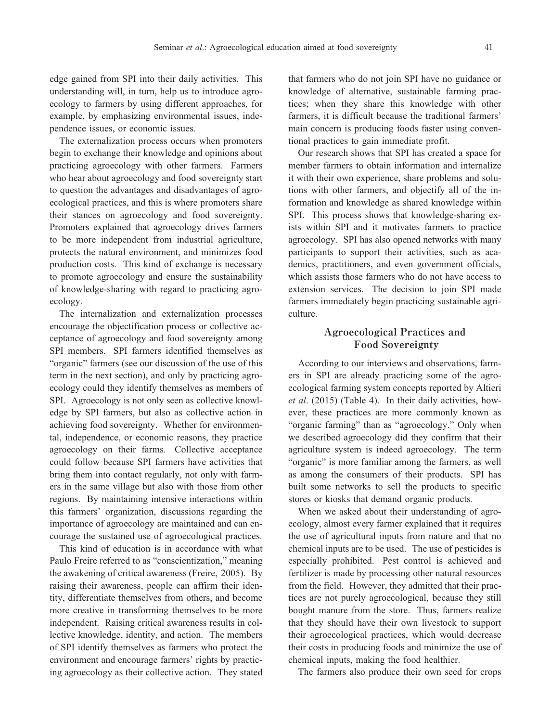edge gained from SPI into their daily activities. This understanding will, in turn, help us to introduce agroecology to farmers by using different approaches, for example, by emphasizing environmental issues, independence issues, or economic issues.

The externalization process occurs when promoters begin to exchange their knowledge and opinions about practicing agroecology with other farmers. Farmers who hear about agroecology and food sovereignty start to question the advantages and disadvantages of agroecological practices, and this is where promoters share their stances on agroecology and food sovereignty. Promoters explained that agroecology drives farmers to be more independent from industrial agriculture, protects the natural environment, and minimizes food production costs. This kind of exchange is necessary to promote agroecology and ensure the sustainability of knowledge-sharing with regard to practicing agroecology.

The internalization and externalization processes encourage the objectification process or collective acceptance of agroecology and food sovereignty among SPI members. SPI farmers identified themselves as "organic" farmers (see our discussion of the use of this term in the next section), and only by practicing agroecology could they identify themselves as members of SPI. Agroecology is not only seen as collective knowledge by SPI farmers, but also as collective action in achieving food sovereignty. Whether for environmental, independence, or economic reasons, they practice agroecology on their farms. Collective acceptance could follow because SPI farmers have activities that bring them into contact regularly, not only with farmers in the same village but also with those from other regions. By maintaining intensive interactions within this farmers' organization, discussions regarding the importance of agroecology are maintained and can encourage the sustained use of agroecological practices.

This kind of education is in accordance with what Paulo Freire referred to as "conscientization," meaning the awakening of critical awareness (Freire, 2005). By raising their awareness, people can affirm their identity, differentiate themselves from others, and become more creative in transforming themselves to be more independent. Raising critical awareness results in collective knowledge, identity, and action. The members of SPI identify themselves as farmers who protect the environment and encourage farmers' rights by practicing agroecology as their collective action. They stated

that farmers who do not join SPI have no guidance or knowledge of alternative, sustainable farming practices; when they share this knowledge with other farmers, it is difficult because the traditional farmers' main concern is producing foods faster using conventional practices to gain immediate profit.

Our research shows that SPI has created a space for member farmers to obtain information and internalize it with their own experience, share problems and solutions with other farmers, and objectify all of the information and knowledge as shared knowledge within SPI. This process shows that knowledge-sharing exists within SPI and it motivates farmers to practice agroecology. SPI has also opened networks with many participants to support their activities, such as academics, practitioners, and even government officials, which assists those farmers who do not have access to extension services. The decision to join SPI made farmers immediately begin practicing sustainable agriculture.

### **Agroecological Practices and Food Sovereignty**

According to our interviews and observations, farmers in SPI are already practicing some of the agroecological farming system concepts reported by Altieri *et al*. (2015) (Table 4). In their daily activities, however, these practices are more commonly known as "organic farming" than as "agroecology." Only when we described agroecology did they confirm that their agriculture system is indeed agroecology. The term "organic" is more familiar among the farmers, as well as among the consumers of their products. SPI has built some networks to sell the products to specific stores or kiosks that demand organic products.

When we asked about their understanding of agroecology, almost every farmer explained that it requires the use of agricultural inputs from nature and that no chemical inputs are to be used. The use of pesticides is especially prohibited. Pest control is achieved and fertilizer is made by processing other natural resources from the field. However, they admitted that their practices are not purely agroecological, because they still bought manure from the store. Thus, farmers realize that they should have their own livestock to support their agroecological practices, which would decrease their costs in producing foods and minimize the use of chemical inputs, making the food healthier.

The farmers also produce their own seed for crops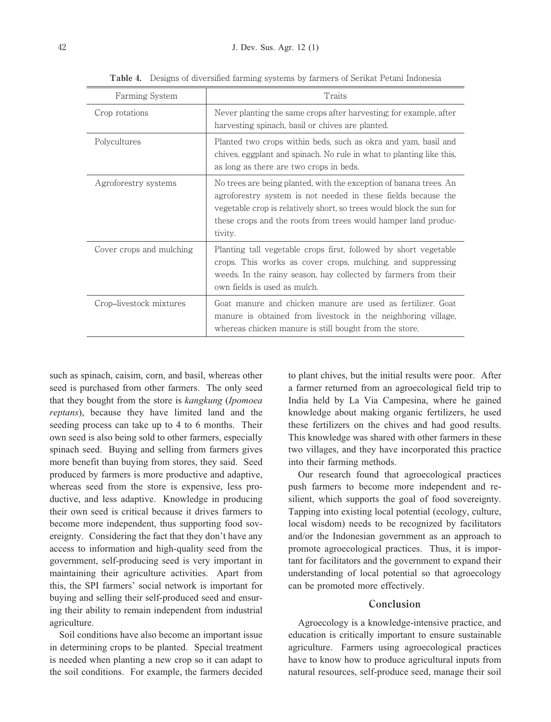| Farming System           | Traits                                                                                                                                                                                                                                                                                   |
|--------------------------|------------------------------------------------------------------------------------------------------------------------------------------------------------------------------------------------------------------------------------------------------------------------------------------|
| Crop rotations           | Never planting the same crops after harvesting; for example, after<br>harvesting spinach, basil or chives are planted.                                                                                                                                                                   |
| Polycultures             | Planted two crops within beds, such as okra and yam, basil and<br>chives, eggplant and spinach. No rule in what to planting like this,<br>as long as there are two crops in beds.                                                                                                        |
| Agroforestry systems     | No trees are being planted, with the exception of banana trees. An<br>agroforestry system is not needed in these fields because the<br>vegetable crop is relatively short, so trees would block the sun for<br>these crops and the roots from trees would hamper land produc-<br>tivity. |
| Cover crops and mulching | Planting tall vegetable crops first, followed by short vegetable<br>crops. This works as cover crops, mulching, and suppressing<br>weeds. In the rainy season, hay collected by farmers from their<br>own fields is used as mulch.                                                       |
| Crop-livestock mixtures  | Goat manure and chicken manure are used as fertilizer. Goat<br>manure is obtained from livestock in the neighboring village,<br>whereas chicken manure is still bought from the store.                                                                                                   |

**Table 4.** Designs of diversified farming systems by farmers of Serikat Petani Indonesia

such as spinach, caisim, corn, and basil, whereas other seed is purchased from other farmers. The only seed that they bought from the store is *kangkung* (*Ipomoea reptans*), because they have limited land and the seeding process can take up to 4 to 6 months. Their own seed is also being sold to other farmers, especially spinach seed. Buying and selling from farmers gives more benefit than buying from stores, they said. Seed produced by farmers is more productive and adaptive, whereas seed from the store is expensive, less productive, and less adaptive. Knowledge in producing their own seed is critical because it drives farmers to become more independent, thus supporting food sovereignty. Considering the fact that they don't have any access to information and high-quality seed from the government, self-producing seed is very important in maintaining their agriculture activities. Apart from this, the SPI farmers' social network is important for buying and selling their self-produced seed and ensuring their ability to remain independent from industrial agriculture.

Soil conditions have also become an important issue in determining crops to be planted. Special treatment is needed when planting a new crop so it can adapt to the soil conditions. For example, the farmers decided to plant chives, but the initial results were poor. After a farmer returned from an agroecological field trip to India held by La Via Campesina, where he gained knowledge about making organic fertilizers, he used these fertilizers on the chives and had good results. This knowledge was shared with other farmers in these two villages, and they have incorporated this practice into their farming methods.

Our research found that agroecological practices push farmers to become more independent and resilient, which supports the goal of food sovereignty. Tapping into existing local potential (ecology, culture, local wisdom) needs to be recognized by facilitators and/or the Indonesian government as an approach to promote agroecological practices. Thus, it is important for facilitators and the government to expand their understanding of local potential so that agroecology can be promoted more effectively.

### **Conclusion**

Agroecology is a knowledge-intensive practice, and education is critically important to ensure sustainable agriculture. Farmers using agroecological practices have to know how to produce agricultural inputs from natural resources, self-produce seed, manage their soil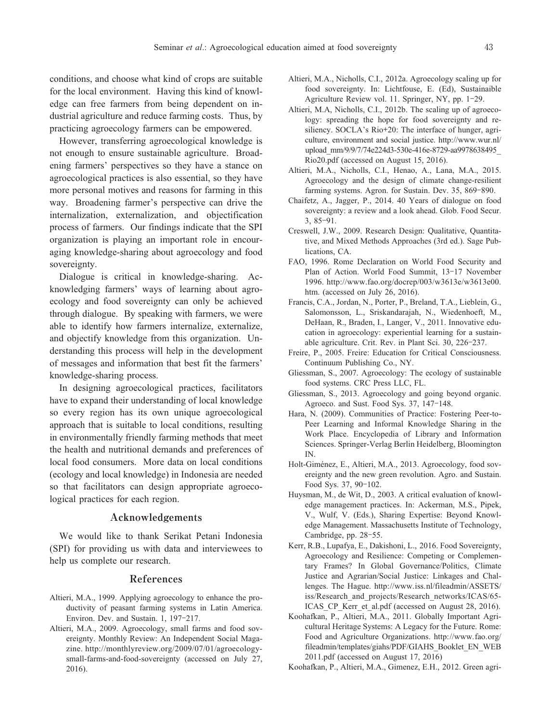conditions, and choose what kind of crops are suitable for the local environment. Having this kind of knowledge can free farmers from being dependent on industrial agriculture and reduce farming costs. Thus, by practicing agroecology farmers can be empowered.

However, transferring agroecological knowledge is not enough to ensure sustainable agriculture. Broadening farmers' perspectives so they have a stance on agroecological practices is also essential, so they have more personal motives and reasons for farming in this way. Broadening farmer's perspective can drive the internalization, externalization, and objectification process of farmers. Our findings indicate that the SPI organization is playing an important role in encouraging knowledge-sharing about agroecology and food sovereignty.

Dialogue is critical in knowledge-sharing. Acknowledging farmers' ways of learning about agroecology and food sovereignty can only be achieved through dialogue. By speaking with farmers, we were able to identify how farmers internalize, externalize, and objectify knowledge from this organization. Understanding this process will help in the development of messages and information that best fit the farmers' knowledge-sharing process.

In designing agroecological practices, facilitators have to expand their understanding of local knowledge so every region has its own unique agroecological approach that is suitable to local conditions, resulting in environmentally friendly farming methods that meet the health and nutritional demands and preferences of local food consumers. More data on local conditions (ecology and local knowledge) in Indonesia are needed so that facilitators can design appropriate agroecological practices for each region.

### **Acknowledgements**

We would like to thank Serikat Petani Indonesia (SPI) for providing us with data and interviewees to help us complete our research.

#### **References**

- Altieri, M.A., 1999. Applying agroecology to enhance the productivity of peasant farming systems in Latin America. Environ. Dev. and Sustain. 1, 197**-**217.
- Altieri, M.A., 2009. Agroecology, small farms and food sovereignty. Monthly Review: An Independent Social Magazine. http://monthlyreview.org/2009/07/01/agroecologysmall-farms-and-food-sovereignty (accessed on July 27, 2016).
- Altieri, M.A., Nicholls, C.I., 2012a. Agroecology scaling up for food sovereignty. In: Lichtfouse, E. (Ed), Sustainaible Agriculture Review vol. 11. Springer, NY, pp. 1**-**29.
- Altieri, M.A, Nicholls, C.I., 2012b. The scaling up of agroecology: spreading the hope for food sovereignty and resiliency. SOCLA's Rio**+**20: The interface of hunger, agriculture, environment and social justice. http://www.wur.nl/ upload\_mm/9/9/7/74e224d3-530e-416e-8729-aa9978638495\_ Rio20.pdf (accessed on August 15, 2016).
- Altieri, M.A., Nicholls, C.I., Henao, A., Lana, M.A., 2015. Agroecology and the design of climate change-resilient farming systems. Agron. for Sustain. Dev. 35, 869**-**890.
- Chaifetz, A., Jagger, P., 2014. 40 Years of dialogue on food sovereignty: a review and a look ahead. Glob. Food Secur. 3, 85**-**91.
- Creswell, J.W., 2009. Research Design: Qualitative, Quantitative, and Mixed Methods Approaches (3rd ed.). Sage Publications, CA.
- FAO, 1996. Rome Declaration on World Food Security and Plan of Action. World Food Summit, 13**-**17 November 1996. http://www.fao.org/docrep/003/w3613e/w3613e00. htm. (accessed on July 26, 2016).
- Francis, C.A., Jordan, N., Porter, P., Breland, T.A., Lieblein, G., Salomonsson, L., Sriskandarajah, N., Wiedenhoeft, M., DeHaan, R., Braden, I., Langer, V., 2011. Innovative education in agroecology: experiential learning for a sustainable agriculture. Crit. Rev. in Plant Sci. 30, 226**-**237.
- Freire, P., 2005. Freire: Education for Critical Consciousness. Continuum Publishing Co., NY.
- Gliessman, S., 2007. Agroecology: The ecology of sustainable food systems. CRC Press LLC, FL.
- Gliessman, S., 2013. Agroecology and going beyond organic. Agroeco. and Sust. Food Sys. 37, 147**-**148.
- Hara, N. (2009). Communities of Practice: Fostering Peer-to-Peer Learning and Informal Knowledge Sharing in the Work Place. Encyclopedia of Library and Information Sciences. Springer-Verlag Berlin Heidelberg, Bloomington IN.
- Holt-Giménez, E., Altieri, M.A., 2013. Agroecology, food sovereignty and the new green revolution. Agro. and Sustain. Food Sys. 37, 90**-**102.
- Huysman, M., de Wit, D., 2003. A critical evaluation of knowledge management practices. In: Ackerman, M.S., Pipek, V., Wulf, V. (Eds.), Sharing Expertise: Beyond Knowledge Management. Massachusetts Institute of Technology, Cambridge, pp. 28**-**55.
- Kerr, R.B., Lupafya, E., Dakishoni, L., 2016. Food Sovereignty, Agroecology and Resilience: Competing or Complementary Frames? In Global Governance/Politics, Climate Justice and Agrarian/Social Justice: Linkages and Challenges. The Hague. http://www.iss.nl/fileadmin/ASSETS/ iss/Research\_and\_projects/Research\_networks/ICAS/65- ICAS CP Kerr et al.pdf (accessed on August 28, 2016).
- Koohafkan, P., Altieri, M.A., 2011. Globally Important Agricultural Heritage Systems: A Legacy for the Future. Rome: Food and Agriculture Organizations. http://www.fao.org/ fileadmin/templates/giahs/PDF/GIAHS\_Booklet\_EN\_WEB 2011.pdf (accessed on August 17, 2016)
- Koohafkan, P., Altieri, M.A., Gimenez, E.H., 2012. Green agri-